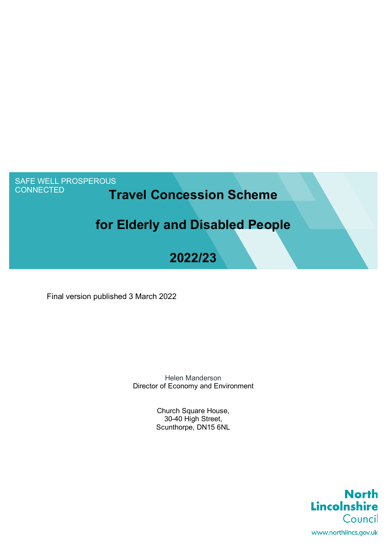# SAFE WELL PROSPEROUS<br>CONNECTED

# **Travel Concession Scheme**

# **for Elderly and Disabled People**

# **2022/23**

Final version published 3 March 2022

 Director of Economy and Environment Helen Manderson

> Church Square House, 30-40 High Street, Scunthorpe, DN15 6NL

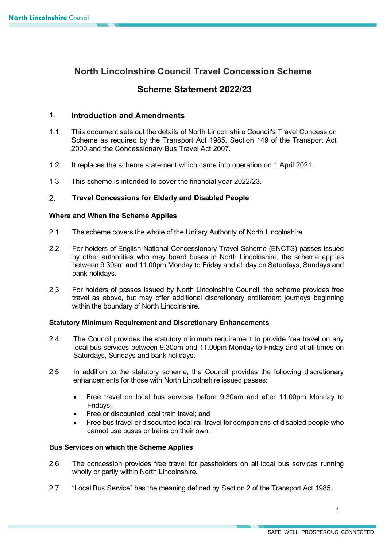# **North Lincolnshire Council Travel Concession Scheme**

# **Scheme Statement 2022/23**

### **1. Introduction and Amendments**

- 1.1 This document sets out the details of North Lincolnshire Council's Travel Concession 2000 and the Concessionary Bus Travel Act 2007. Scheme as required by the Transport Act 1985, Section 149 of the Transport Act
- 1.2 It replaces the scheme statement which came into operation on 1 April 2021.
- 1.3 This scheme is intended to cover the financial year 2022/23.

# 2. **Travel Concessions for Elderly and Disabled People**

### **Where and When the Scheme Applies**

- 2.1 The scheme covers the whole of the Unitary Authority of North Lincolnshire.
- between 9.30am and 11.00pm Monday to Friday and all day on Saturdays, Sundays and 2.2 For holders of English National Concessionary Travel Scheme (ENCTS) passes issued by other authorities who may board buses in North Lincolnshire, the scheme applies bank holidays.
- 2.3 For holders of passes issued by North Lincolnshire Council, the scheme provides free travel as above, but may offer additional discretionary entitlement journeys beginning within the boundary of North Lincolnshire.

## **Statutory Minimum Requirement and Discretionary Enhancements**

- 2.4 The Council provides the statutory minimum requirement to provide free travel on any local bus services between 9.30am and 11.00pm Monday to Friday and at all times on Saturdays, Sundays and bank holidays.
- $2.5$ In addition to the statutory scheme, the Council provides the following discretionary enhancements for those with North Lincolnshire issued passes:
	- • Free travel on local bus services before 9.30am and after 11.00pm Monday to Fridays;
	- Free or discounted local train travel; and
	- • Free bus travel or discounted local rail travel for companions of disabled people who cannot use buses or trains on their own.

### **Bus Services on which the Scheme Applies**

- 2.6 The concession provides free travel for passholders on all local bus services running wholly or partly within North Lincolnshire.
- 2.7 "Local Bus Service" has the meaning defined by Section 2 of the Transport Act 1985.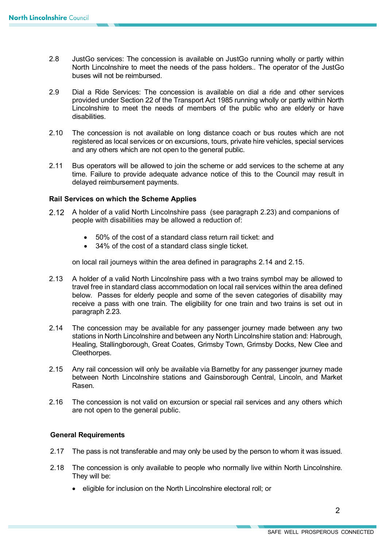- North Lincolnshire to meet the needs of the pass holders.. The operator of the JustGo buses will not be reimbursed. 2.8 JustGo services: The concession is available on JustGo running wholly or partly within
- 2.9 Dial a Ride Services: The concession is available on dial a ride and other services provided under Section 22 of the Transport Act 1985 running wholly or partly within North Lincolnshire to meet the needs of members of the public who are elderly or have disabilities.
- 2.10 The concession is not available on long distance coach or bus routes which are not registered as local services or on excursions, tours, private hire vehicles, special services and any others which are not open to the general public.
- 2.11 Bus operators will be allowed to join the scheme or add services to the scheme at any time. Failure to provide adequate advance notice of this to the Council may result in delayed reimbursement payments.

## **Rail Services on which the Scheme Applies**

- 2.12 A holder of a valid North Lincolnshire pass (see paragraph 2.23) and companions of people with disabilities may be allowed a reduction of:
	- 50% of the cost of a standard class return rail ticket: and
	- 34% of the cost of a standard class single ticket.

on local rail journeys within the area defined in paragraphs 2.14 and 2.15.

- receive a pass with one train. The eligibility for one train and two trains is set out in paragraph 2.23. 2.13 A holder of a valid North Lincolnshire pass with a two trains symbol may be allowed to travel free in standard class accommodation on local rail services within the area defined below. Passes for elderly people and some of the seven categories of disability may
- 2.14 The concession may be available for any passenger journey made between any two stations in North Lincolnshire and between any North Lincolnshire station and: Habrough, Healing, Stallingborough, Great Coates, Grimsby Town, Grimsby Docks, New Clee and Cleethorpes.
- 2.15 Any rail concession will only be available via Barnetby for any passenger journey made between North Lincolnshire stations and Gainsborough Central, Lincoln, and Market Rasen.
- 2.16 The concession is not valid on excursion or special rail services and any others which are not open to the general public.

#### **General Requirements**

- 2.17 The pass is not transferable and may only be used by the person to whom it was issued.
- They will be: 2.18 The concession is only available to people who normally live within North Lincolnshire.
	- eligible for inclusion on the North Lincolnshire electoral roll; or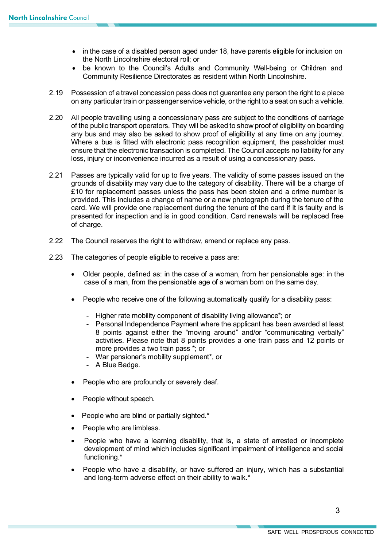- • in the case of a disabled person aged under 18, have parents eligible for inclusion on the North Lincolnshire electoral roll; or
- • be known to the Council's Adults and Community Well-being or Children and Community Resilience Directorates as resident within North Lincolnshire.
- 2.19 Possession of a travel concession pass does not guarantee any person the right to a place on any particular train or passenger service vehicle, or the right to a seat on such a vehicle.
- 2.20 All people travelling using a concessionary pass are subject to the conditions of carriage of the public transport operators. They will be asked to show proof of eligibility on boarding any bus and may also be asked to show proof of eligibility at any time on any journey. Where a bus is fitted with electronic pass recognition equipment, the passholder must ensure that the electronic transaction is completed. The Council accepts no liability for any loss, injury or inconvenience incurred as a result of using a concessionary pass.
- 2.21 Passes are typically valid for up to five years. The validity of some passes issued on the grounds of disability may vary due to the category of disability. There will be a charge of card. We will provide one replacement during the tenure of the card if it is faulty and is of charge. £10 for replacement passes unless the pass has been stolen and a crime number is provided. This includes a change of name or a new photograph during the tenure of the presented for inspection and is in good condition. Card renewals will be replaced free
- 2.22 The Council reserves the right to withdraw, amend or replace any pass.
- 2.23 The categories of people eligible to receive a pass are:
	- case of a man, from the pensionable age of a woman born on the same day. • Older people, defined as: in the case of a woman, from her pensionable age: in the
	- • People who receive one of the following automatically qualify for a disability pass:
		- Higher rate mobility component of disability living allowance\*; or
		- - Personal Independence Payment where the applicant has been awarded at least 8 points against either the "moving around" and/or "communicating verbally" activities. Please note that 8 points provides a one train pass and 12 points or more provides a two train pass \*; or
		- War pensioner's mobility supplement\*, or
		- A Blue Badge.
	- People who are profoundly or severely deaf.
	- People without speech.
	- People who are blind or partially sighted.\*
	- People who are limbless.
	- development of mind which includes significant impairment of intelligence and social • People who have a learning disability, that is, a state of arrested or incomplete functioning.\*
	- and long-term adverse effect on their ability to walk.\* • People who have a disability, or have suffered an injury, which has a substantial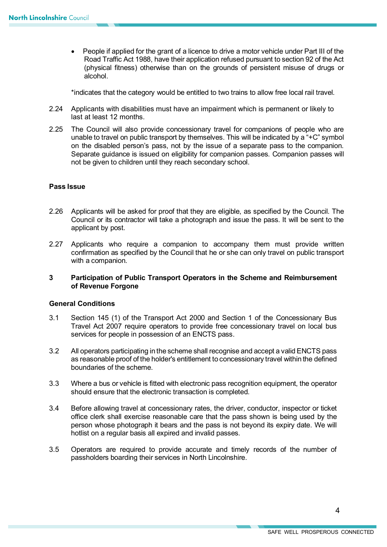• People if applied for the grant of a licence to drive a motor vehicle under Part III of the Road Traffic Act 1988, have their application refused pursuant to section 92 of the Act (physical fitness) otherwise than on the grounds of persistent misuse of drugs or alcohol.

\*indicates that the category would be entitled to two trains to allow free local rail travel.

- 2.24 Applicants with disabilities must have an impairment which is permanent or likely to last at least 12 months.
- 2.25 The Council will also provide concessionary travel for companions of people who are unable to travel on public transport by themselves. This will be indicated by a "+C" symbol on the disabled person's pass, not by the issue of a separate pass to the companion. not be given to children until they reach secondary school. Separate guidance is issued on eligibility for companion passes. Companion passes will

#### **Pass Issue**

- 2.26 Applicants will be asked for proof that they are eligible, as specified by the Council. The Council or its contractor will take a photograph and issue the pass. It will be sent to the applicant by post.
- confirmation as specified by the Council that he or she can only travel on public transport 2.27 Applicants who require a companion to accompany them must provide written with a companion.

#### **of Revenue Forgone 3 Participation of Public Transport Operators in the Scheme and Reimbursement**

#### **General Conditions**

- 3.1 Section 145 (1) of the Transport Act 2000 and Section 1 of the Concessionary Bus Travel Act 2007 require operators to provide free concessionary travel on local bus services for people in possession of an ENCTS pass.
- 3.2 All operators participating in the scheme shall recognise and accept a valid ENCTS pass as reasonable proof of the holder's entitlement to concessionary travel within the defined boundaries of the scheme.
- 3.3 Where a bus or vehicle is fitted with electronic pass recognition equipment, the operator should ensure that the electronic transaction is completed.
- 3.4 Before allowing travel at concessionary rates, the driver, conductor, inspector or ticket person whose photograph it bears and the pass is not beyond its expiry date. We will hotlist on a regular basis all expired and invalid passes. office clerk shall exercise reasonable care that the pass shown is being used by the
- 3.5 Operators are required to provide accurate and timely records of the number of passholders boarding their services in North Lincolnshire.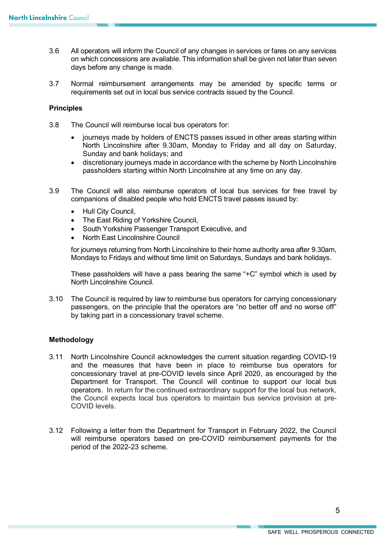- 3.6 All operators will inform the Council of any changes in services or fares on any services on which concessions are available. This information shall be given not later than seven days before any change is made.
- 3.7 Normal reimbursement arrangements may be amended by specific terms or requirements set out in local bus service contracts issued by the Council.

#### **Principles**

- 3.8 The Council will reimburse local bus operators for:
	- • journeys made by holders of ENCTS passes issued in other areas starting within Sunday and bank holidays; and North Lincolnshire after 9.30am, Monday to Friday and all day on Saturday,
	- passholders starting within North Lincolnshire at any time on any day. • discretionary journeys made in accordance with the scheme by North Lincolnshire
- 3.9 The Council will also reimburse operators of local bus services for free travel by companions of disabled people who hold ENCTS travel passes issued by:
	- Hull City Council,
	- The East Riding of Yorkshire Council,
	- South Yorkshire Passenger Transport Executive, and
	- North East Lincolnshire Council

 Mondays to Fridays and without time limit on Saturdays, Sundays and bank holidays. for journeys returning from North Lincolnshire to their home authority area after 9.30am,

 These passholders will have a pass bearing the same "+C" symbol which is used by North Lincolnshire Council.

 by taking part in a concessionary travel scheme. 3.10 The Council is required by law to reimburse bus operators for carrying concessionary passengers, on the principle that the operators are "no better off and no worse off"

#### **Methodology**

- concessionary travel at pre-COVID levels since April 2020, as encouraged by the Department for Transport. The Council will continue to support our local bus 3.11 North Lincolnshire Council acknowledges the current situation regarding COVID-19 and the measures that have been in place to reimburse bus operators for operators. In return for the continued extraordinary support for the local bus network, the Council expects local bus operators to maintain bus service provision at pre-COVID levels.
- will reimburse operators based on pre-COVID reimbursement payments for the 3.12 Following a letter from the Department for Transport in February 2022, the Council period of the 2022-23 scheme.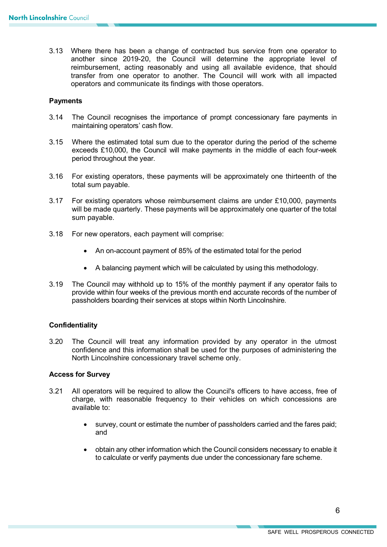reimbursement, acting reasonably and using all available evidence, that should transfer from one operator to another. The Council will work with all impacted 3.13 Where there has been a change of contracted bus service from one operator to another since 2019-20, the Council will determine the appropriate level of operators and communicate its findings with those operators.

#### **Payments**

- 3.14 The Council recognises the importance of prompt concessionary fare payments in maintaining operators' cash flow.
- 3.15 Where the estimated total sum due to the operator during the period of the scheme exceeds £10,000, the Council will make payments in the middle of each four-week period throughout the year.
- total sum payable. 3.16 For existing operators, these payments will be approximately one thirteenth of the
- will be made quarterly. These payments will be approximately one quarter of the total 3.17 For existing operators whose reimbursement claims are under £10,000, payments sum payable.
- 3.18 For new operators, each payment will comprise:
	- An on-account payment of 85% of the estimated total for the period
	- A balancing payment which will be calculated by using this methodology.
- 3.19 The Council may withhold up to 15% of the monthly payment if any operator fails to provide within four weeks of the previous month end accurate records of the number of passholders boarding their services at stops within North Lincolnshire.

#### **Confidentiality**

 3.20 The Council will treat any information provided by any operator in the utmost North Lincolnshire concessionary travel scheme only. confidence and this information shall be used for the purposes of administering the

#### **Access for Survey**

- 3.21 All operators will be required to allow the Council's officers to have access, free of charge, with reasonable frequency to their vehicles on which concessions are available to:
	- • survey, count or estimate the number of passholders carried and the fares paid; and
	- • obtain any other information which the Council considers necessary to enable it to calculate or verify payments due under the concessionary fare scheme.